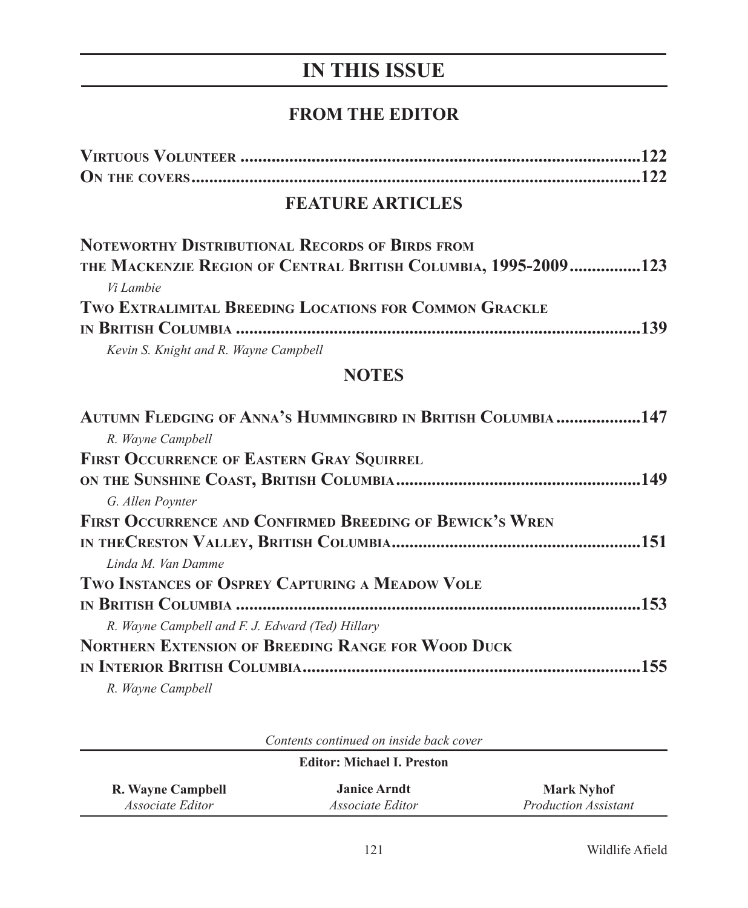# **IN THIS ISSUE**

## **FROM THE EDITOR**

### **FEATURE ARTICLES**

| NOTEWORTHY DISTRIBUTIONAL RECORDS OF BIRDS FROM                |
|----------------------------------------------------------------|
| THE MACKENZIE REGION OF CENTRAL BRITISH COLUMBIA, 1995-2009123 |
| Vi Lambie                                                      |
| TWO EXTRALIMITAL BREEDING LOCATIONS FOR COMMON GRACKLE         |
|                                                                |
| Kevin S. Knight and R. Wayne Campbell                          |
| <b>NOTES</b>                                                   |
| AUTUMN FLEDGING OF ANNA'S HUMMINGBIRD IN BRITISH COLUMBIA147   |
| R. Wayne Campbell                                              |
|                                                                |

| <b>FIRST OCCURRENCE OF EASTERN GRAY SQUIRREL</b>          |  |
|-----------------------------------------------------------|--|
|                                                           |  |
| G. Allen Poynter                                          |  |
| FIRST OCCURRENCE AND CONFIRMED BREEDING OF BEWICK'S WREN  |  |
|                                                           |  |
| Linda M. Van Damme                                        |  |
| TWO INSTANCES OF OSPREY CAPTURING A MEADOW VOLE           |  |
|                                                           |  |
| R. Wayne Campbell and F. J. Edward (Ted) Hillary          |  |
| <b>NORTHERN EXTENSION OF BREEDING RANGE FOR WOOD DUCK</b> |  |
|                                                           |  |
| R. Wayne Campbell                                         |  |

| Coments communed on monic buck cover<br><b>Editor: Michael I. Preston</b> |                         |                             |  |  |  |  |
|---------------------------------------------------------------------------|-------------------------|-----------------------------|--|--|--|--|
| R. Wayne Campbell                                                         | <b>Janice Arndt</b>     | <b>Mark Nyhof</b>           |  |  |  |  |
| <i>Associate Editor</i>                                                   | <i>Associate Editor</i> | <i>Production Assistant</i> |  |  |  |  |

*Contents continued on inside back cover*